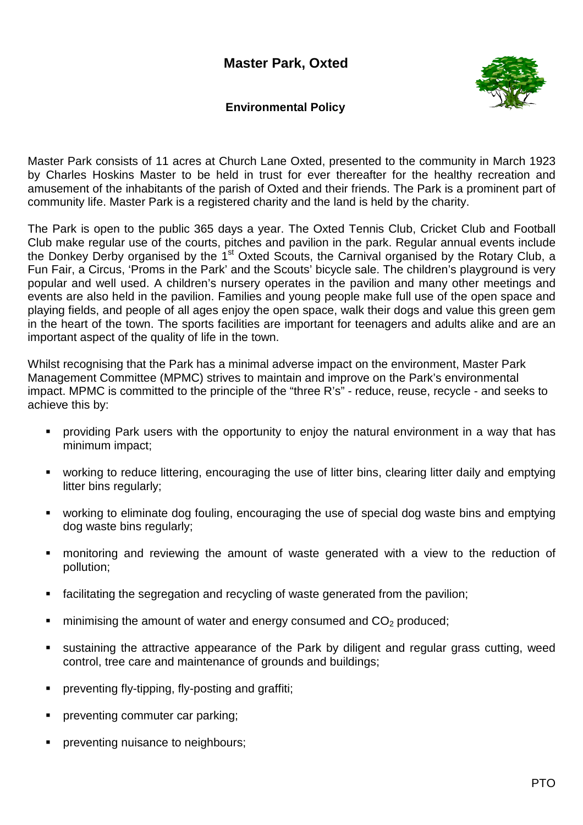

## **Environmental Policy**

Master Park consists of 11 acres at Church Lane Oxted, presented to the community in March 1923 by Charles Hoskins Master to be held in trust for ever thereafter for the healthy recreation and amusement of the inhabitants of the parish of Oxted and their friends. The Park is a prominent part of community life. Master Park is a registered charity and the land is held by the charity.

The Park is open to the public 365 days a year. The Oxted Tennis Club, Cricket Club and Football Club make regular use of the courts, pitches and pavilion in the park. Regular annual events include the Donkey Derby organised by the  $1<sup>st</sup>$  Oxted Scouts, the Carnival organised by the Rotary Club, a Fun Fair, a Circus, 'Proms in the Park' and the Scouts' bicycle sale. The children's playground is very popular and well used. A children's nursery operates in the pavilion and many other meetings and events are also held in the pavilion. Families and young people make full use of the open space and playing fields, and people of all ages enjoy the open space, walk their dogs and value this green gem in the heart of the town. The sports facilities are important for teenagers and adults alike and are an important aspect of the quality of life in the town.

Whilst recognising that the Park has a minimal adverse impact on the environment, Master Park Management Committee (MPMC) strives to maintain and improve on the Park's environmental impact. MPMC is committed to the principle of the "three R's" - reduce, reuse, recycle - and seeks to achieve this by:

- providing Park users with the opportunity to enjoy the natural environment in a way that has minimum impact;
- working to reduce littering, encouraging the use of litter bins, clearing litter daily and emptying litter bins regularly;
- working to eliminate dog fouling, encouraging the use of special dog waste bins and emptying dog waste bins regularly;
- monitoring and reviewing the amount of waste generated with a view to the reduction of pollution;
- facilitating the segregation and recycling of waste generated from the pavilion;
- minimising the amount of water and energy consumed and  $CO<sub>2</sub>$  produced;
- sustaining the attractive appearance of the Park by diligent and regular grass cutting, weed control, tree care and maintenance of grounds and buildings;
- preventing fly-tipping, fly-posting and graffiti;
- preventing commuter car parking;
- preventing nuisance to neighbours;